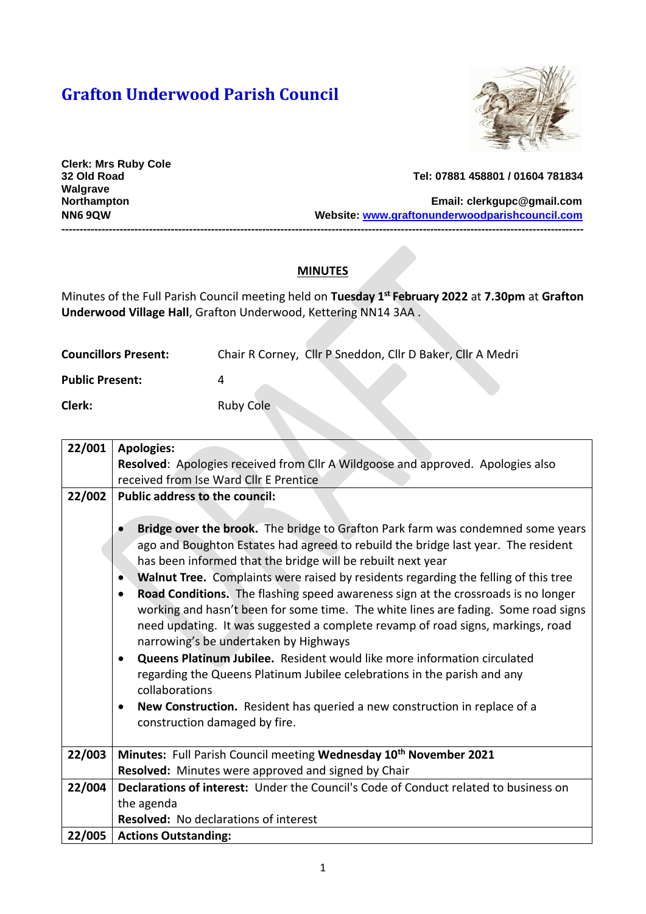# **Grafton Underwood Parish Council**



**Clerk: Mrs Ruby Cole Walgrave** 

**32 Old Road Tel: 07881 458801 / 01604 781834**

**Northampton Email: [clerkgupc@gmail.com](mailto:clerkgupc@gmail.com) NN6 9QW Website: [www.graftonunderwoodparishcouncil.com](http://www.graftonunderwoodparishcouncil.com/) -----------------------------------------------------------------------------------------------------------------------------------------------**

#### **MINUTES**

Minutes of the Full Parish Council meeting held on **Tuesday 1 st February 2022** at **7.30pm** at **Grafton Underwood Village Hall**, Grafton Underwood, Kettering NN14 3AA .

| <b>Councillors Present:</b> | Chair R Corney, Cllr P Sneddon, Cllr D Baker, Cllr A Medri |
|-----------------------------|------------------------------------------------------------|
| <b>Public Present:</b>      |                                                            |
| Clerk:                      | Ruby Cole                                                  |

| 22/001 | <b>Apologies:</b>                                                                                                                                                                                                                                                                                                |  |  |
|--------|------------------------------------------------------------------------------------------------------------------------------------------------------------------------------------------------------------------------------------------------------------------------------------------------------------------|--|--|
|        | Resolved: Apologies received from Cllr A Wildgoose and approved. Apologies also                                                                                                                                                                                                                                  |  |  |
|        | received from Ise Ward Cllr E Prentice                                                                                                                                                                                                                                                                           |  |  |
| 22/002 | <b>Public address to the council:</b>                                                                                                                                                                                                                                                                            |  |  |
|        | Bridge over the brook. The bridge to Grafton Park farm was condemned some years<br>ago and Boughton Estates had agreed to rebuild the bridge last year. The resident<br>has been informed that the bridge will be rebuilt next year                                                                              |  |  |
|        | Walnut Tree. Complaints were raised by residents regarding the felling of this tree<br>$\bullet$                                                                                                                                                                                                                 |  |  |
|        | Road Conditions. The flashing speed awareness sign at the crossroads is no longer<br>$\bullet$<br>working and hasn't been for some time. The white lines are fading. Some road signs<br>need updating. It was suggested a complete revamp of road signs, markings, road<br>narrowing's be undertaken by Highways |  |  |
|        | Queens Platinum Jubilee. Resident would like more information circulated<br>$\bullet$<br>regarding the Queens Platinum Jubilee celebrations in the parish and any                                                                                                                                                |  |  |
|        | collaborations                                                                                                                                                                                                                                                                                                   |  |  |
|        | New Construction. Resident has queried a new construction in replace of a<br>$\bullet$                                                                                                                                                                                                                           |  |  |
|        | construction damaged by fire.                                                                                                                                                                                                                                                                                    |  |  |
| 22/003 | Minutes: Full Parish Council meeting Wednesday 10 <sup>th</sup> November 2021                                                                                                                                                                                                                                    |  |  |
|        | Resolved: Minutes were approved and signed by Chair                                                                                                                                                                                                                                                              |  |  |
| 22/004 | <b>Declarations of interest:</b> Under the Council's Code of Conduct related to business on                                                                                                                                                                                                                      |  |  |
|        | the agenda                                                                                                                                                                                                                                                                                                       |  |  |
|        | <b>Resolved:</b> No declarations of interest                                                                                                                                                                                                                                                                     |  |  |
| 22/005 | <b>Actions Outstanding:</b>                                                                                                                                                                                                                                                                                      |  |  |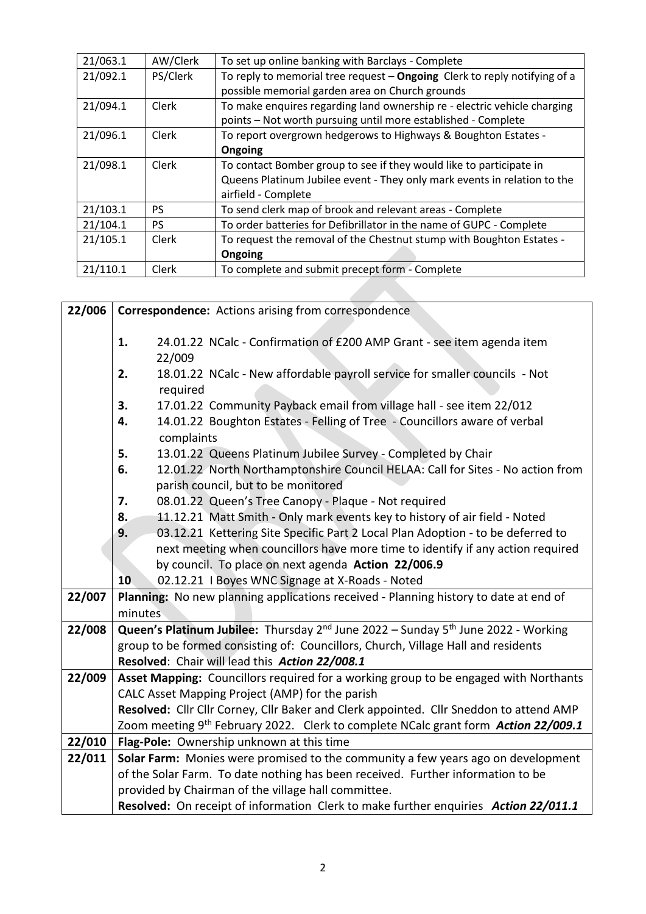| 21/063.1 | AW/Clerk     | To set up online banking with Barclays - Complete                                                                                         |
|----------|--------------|-------------------------------------------------------------------------------------------------------------------------------------------|
| 21/092.1 | PS/Clerk     | To reply to memorial tree request - Ongoing Clerk to reply notifying of a                                                                 |
|          |              | possible memorial garden area on Church grounds                                                                                           |
| 21/094.1 | <b>Clerk</b> | To make enquires regarding land ownership re - electric vehicle charging<br>points - Not worth pursuing until more established - Complete |
| 21/096.1 | <b>Clerk</b> | To report overgrown hedgerows to Highways & Boughton Estates -                                                                            |
|          |              | Ongoing                                                                                                                                   |
| 21/098.1 | <b>Clerk</b> | To contact Bomber group to see if they would like to participate in                                                                       |
|          |              | Queens Platinum Jubilee event - They only mark events in relation to the                                                                  |
|          |              | airfield - Complete                                                                                                                       |
| 21/103.1 | PS.          | To send clerk map of brook and relevant areas - Complete                                                                                  |
| 21/104.1 | <b>PS</b>    | To order batteries for Defibrillator in the name of GUPC - Complete                                                                       |
| 21/105.1 | <b>Clerk</b> | To request the removal of the Chestnut stump with Boughton Estates -                                                                      |
|          |              | Ongoing                                                                                                                                   |
| 21/110.1 | <b>Clerk</b> | To complete and submit precept form - Complete                                                                                            |

| 22/006 | <b>Correspondence:</b> Actions arising from correspondence                                                                                |  |
|--------|-------------------------------------------------------------------------------------------------------------------------------------------|--|
|        | 24.01.22 NCalc - Confirmation of £200 AMP Grant - see item agenda item<br>1.<br>22/009                                                    |  |
|        | 18.01.22 NCalc - New affordable payroll service for smaller councils - Not<br>2.<br>required                                              |  |
|        | 17.01.22 Community Payback email from village hall - see item 22/012<br>3.                                                                |  |
|        | 14.01.22 Boughton Estates - Felling of Tree - Councillors aware of verbal<br>4.<br>complaints                                             |  |
|        | 13.01.22 Queens Platinum Jubilee Survey - Completed by Chair<br>5.                                                                        |  |
|        | 12.01.22 North Northamptonshire Council HELAA: Call for Sites - No action from<br>6.<br>parish council, but to be monitored               |  |
|        | 08.01.22 Queen's Tree Canopy - Plaque - Not required<br>7.                                                                                |  |
|        | 11.12.21 Matt Smith - Only mark events key to history of air field - Noted<br>8.                                                          |  |
|        | 9.<br>03.12.21 Kettering Site Specific Part 2 Local Plan Adoption - to be deferred to                                                     |  |
|        | next meeting when councillors have more time to identify if any action required                                                           |  |
|        | by council. To place on next agenda Action 22/006.9                                                                                       |  |
|        | 02.12.21 I Boyes WNC Signage at X-Roads - Noted<br>10                                                                                     |  |
| 22/007 | Planning: No new planning applications received - Planning history to date at end of                                                      |  |
|        | minutes                                                                                                                                   |  |
| 22/008 | <b>Queen's Platinum Jubilee:</b> Thursday $2^{nd}$ June 2022 – Sunday $5^{th}$ June 2022 - Working                                        |  |
|        | group to be formed consisting of: Councillors, Church, Village Hall and residents                                                         |  |
|        | Resolved: Chair will lead this Action 22/008.1                                                                                            |  |
| 22/009 | Asset Mapping: Councillors required for a working group to be engaged with Northants                                                      |  |
|        | CALC Asset Mapping Project (AMP) for the parish<br>Resolved: Cllr Cllr Corney, Cllr Baker and Clerk appointed. Cllr Sneddon to attend AMP |  |
|        | Zoom meeting 9 <sup>th</sup> February 2022. Clerk to complete NCalc grant form Action 22/009.1                                            |  |
| 22/010 | Flag-Pole: Ownership unknown at this time                                                                                                 |  |
| 22/011 | Solar Farm: Monies were promised to the community a few years ago on development                                                          |  |
|        | of the Solar Farm. To date nothing has been received. Further information to be                                                           |  |
|        | provided by Chairman of the village hall committee.                                                                                       |  |
|        | Resolved: On receipt of information Clerk to make further enquiries Action 22/011.1                                                       |  |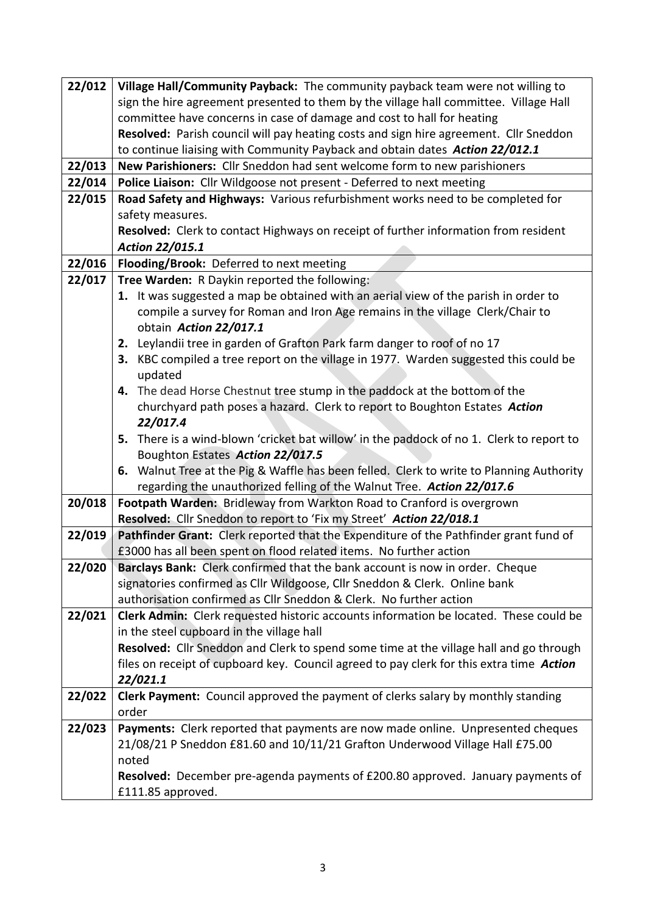| 22/012 | Village Hall/Community Payback: The community payback team were not willing to               |
|--------|----------------------------------------------------------------------------------------------|
|        | sign the hire agreement presented to them by the village hall committee. Village Hall        |
|        | committee have concerns in case of damage and cost to hall for heating                       |
|        | Resolved: Parish council will pay heating costs and sign hire agreement. Cllr Sneddon        |
|        | to continue liaising with Community Payback and obtain dates Action 22/012.1                 |
| 22/013 | New Parishioners: Cllr Sneddon had sent welcome form to new parishioners                     |
| 22/014 | Police Liaison: Cllr Wildgoose not present - Deferred to next meeting                        |
| 22/015 | Road Safety and Highways: Various refurbishment works need to be completed for               |
|        | safety measures.                                                                             |
|        | Resolved: Clerk to contact Highways on receipt of further information from resident          |
|        | Action 22/015.1                                                                              |
| 22/016 | Flooding/Brook: Deferred to next meeting                                                     |
| 22/017 | Tree Warden: R Daykin reported the following:                                                |
|        | 1. It was suggested a map be obtained with an aerial view of the parish in order to          |
|        | compile a survey for Roman and Iron Age remains in the village Clerk/Chair to                |
|        | obtain Action 22/017.1                                                                       |
|        | 2. Leylandii tree in garden of Grafton Park farm danger to roof of no 17                     |
|        | 3. KBC compiled a tree report on the village in 1977. Warden suggested this could be         |
|        | updated                                                                                      |
|        | 4. The dead Horse Chestnut tree stump in the paddock at the bottom of the                    |
|        | churchyard path poses a hazard. Clerk to report to Boughton Estates Action                   |
|        | 22/017.4                                                                                     |
|        | 5. There is a wind-blown 'cricket bat willow' in the paddock of no 1. Clerk to report to     |
|        | Boughton Estates Action 22/017.5                                                             |
|        | 6. Walnut Tree at the Pig & Waffle has been felled. Clerk to write to Planning Authority     |
|        | regarding the unauthorized felling of the Walnut Tree. Action 22/017.6                       |
| 20/018 | Footpath Warden: Bridleway from Warkton Road to Cranford is overgrown                        |
|        | Resolved: Cllr Sneddon to report to 'Fix my Street' Action 22/018.1                          |
| 22/019 | Pathfinder Grant: Clerk reported that the Expenditure of the Pathfinder grant fund of        |
|        | £3000 has all been spent on flood related items. No further action                           |
| 22/020 | Barclays Bank: Clerk confirmed that the bank account is now in order. Cheque                 |
|        | signatories confirmed as Cllr Wildgoose, Cllr Sneddon & Clerk. Online bank                   |
|        | authorisation confirmed as Cllr Sneddon & Clerk. No further action                           |
| 22/021 | <b>Clerk Admin:</b> Clerk requested historic accounts information be located. These could be |
|        | in the steel cupboard in the village hall                                                    |
|        | Resolved: Cllr Sneddon and Clerk to spend some time at the village hall and go through       |
|        | files on receipt of cupboard key. Council agreed to pay clerk for this extra time Action     |
|        | 22/021.1                                                                                     |
| 22/022 | Clerk Payment: Council approved the payment of clerks salary by monthly standing             |
|        | order                                                                                        |
| 22/023 | Payments: Clerk reported that payments are now made online. Unpresented cheques              |
|        | 21/08/21 P Sneddon £81.60 and 10/11/21 Grafton Underwood Village Hall £75.00                 |
|        | noted                                                                                        |
|        | Resolved: December pre-agenda payments of £200.80 approved. January payments of              |
|        | £111.85 approved.                                                                            |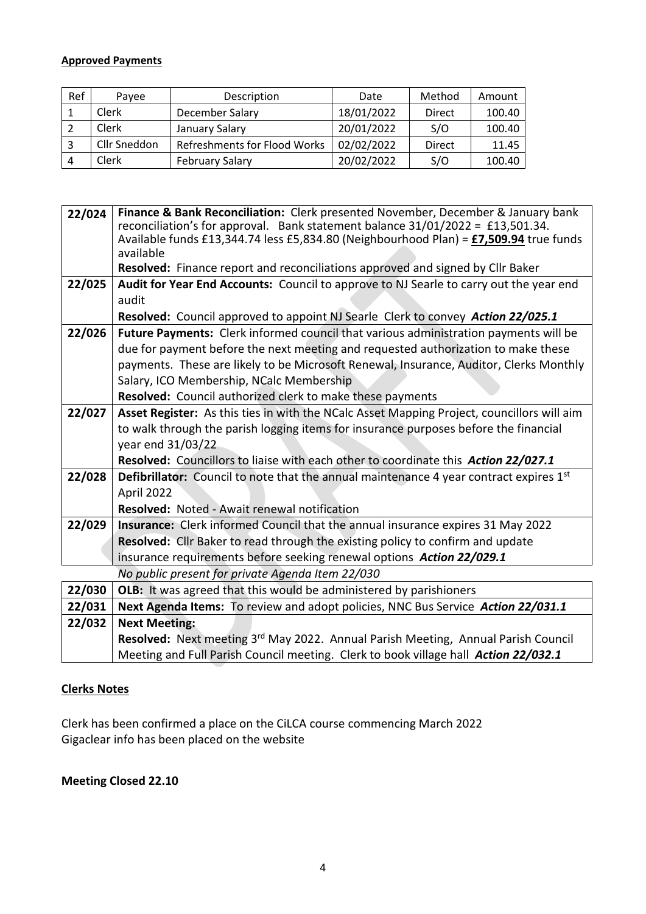#### **Approved Payments**

| Ref | Pavee        | Description                         | Date       | Method | Amount |
|-----|--------------|-------------------------------------|------------|--------|--------|
|     | Clerk        | December Salary                     | 18/01/2022 | Direct | 100.40 |
|     | Clerk        | January Salary                      | 20/01/2022 | S/O    | 100.40 |
|     | Cllr Sneddon | <b>Refreshments for Flood Works</b> | 02/02/2022 | Direct | 11.45  |
| 4   | Clerk        | <b>February Salary</b>              | 20/02/2022 | S/O    | 100.40 |

| 22/024 | Finance & Bank Reconciliation: Clerk presented November, December & January bank<br>reconciliation's for approval. Bank statement balance 31/01/2022 = £13,501.34.<br>Available funds £13,344.74 less £5,834.80 (Neighbourhood Plan) = £7,509.94 true funds<br>available |
|--------|--------------------------------------------------------------------------------------------------------------------------------------------------------------------------------------------------------------------------------------------------------------------------|
|        | Resolved: Finance report and reconciliations approved and signed by Cllr Baker                                                                                                                                                                                           |
| 22/025 | Audit for Year End Accounts: Council to approve to NJ Searle to carry out the year end                                                                                                                                                                                   |
|        | audit                                                                                                                                                                                                                                                                    |
|        | Resolved: Council approved to appoint NJ Searle Clerk to convey Action 22/025.1                                                                                                                                                                                          |
| 22/026 | Future Payments: Clerk informed council that various administration payments will be                                                                                                                                                                                     |
|        | due for payment before the next meeting and requested authorization to make these                                                                                                                                                                                        |
|        | payments. These are likely to be Microsoft Renewal, Insurance, Auditor, Clerks Monthly                                                                                                                                                                                   |
|        | Salary, ICO Membership, NCalc Membership                                                                                                                                                                                                                                 |
|        | Resolved: Council authorized clerk to make these payments                                                                                                                                                                                                                |
| 22/027 | Asset Register: As this ties in with the NCalc Asset Mapping Project, councillors will aim                                                                                                                                                                               |
|        | to walk through the parish logging items for insurance purposes before the financial                                                                                                                                                                                     |
|        | year end 31/03/22                                                                                                                                                                                                                                                        |
|        | Resolved: Councillors to liaise with each other to coordinate this Action 22/027.1                                                                                                                                                                                       |
| 22/028 | Defibrillator: Council to note that the annual maintenance 4 year contract expires 1st                                                                                                                                                                                   |
|        | April 2022                                                                                                                                                                                                                                                               |
|        | <b>Resolved: Noted - Await renewal notification</b>                                                                                                                                                                                                                      |
| 22/029 | Insurance: Clerk informed Council that the annual insurance expires 31 May 2022                                                                                                                                                                                          |
|        | Resolved: Cllr Baker to read through the existing policy to confirm and update                                                                                                                                                                                           |
|        | insurance requirements before seeking renewal options Action 22/029.1                                                                                                                                                                                                    |
|        | No public present for private Agenda Item 22/030                                                                                                                                                                                                                         |
| 22/030 | OLB: It was agreed that this would be administered by parishioners                                                                                                                                                                                                       |
| 22/031 | Next Agenda Items: To review and adopt policies, NNC Bus Service Action 22/031.1                                                                                                                                                                                         |
| 22/032 | <b>Next Meeting:</b>                                                                                                                                                                                                                                                     |
|        | Resolved: Next meeting 3rd May 2022. Annual Parish Meeting, Annual Parish Council                                                                                                                                                                                        |
|        | Meeting and Full Parish Council meeting. Clerk to book village hall Action 22/032.1                                                                                                                                                                                      |

## **Clerks Notes**

Clerk has been confirmed a place on the CiLCA course commencing March 2022 Gigaclear info has been placed on the website

**Meeting Closed 22.10**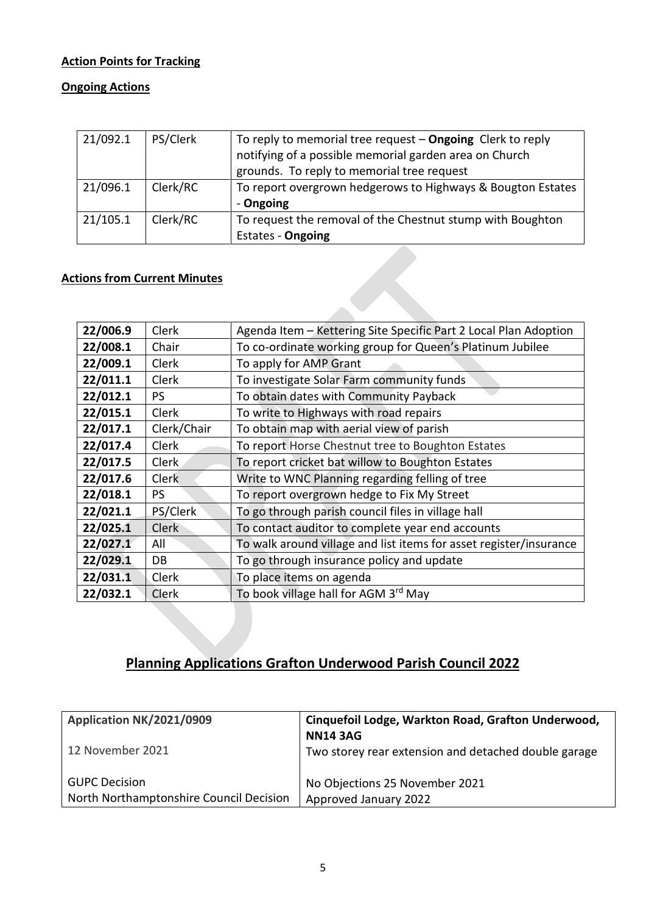## **Action Points for Tracking**

### **Ongoing Actions**

| 21/092.1 | PS/Clerk | To reply to memorial tree request $-$ Ongoing Clerk to reply<br>notifying of a possible memorial garden area on Church<br>grounds. To reply to memorial tree request |
|----------|----------|----------------------------------------------------------------------------------------------------------------------------------------------------------------------|
| 21/096.1 | Clerk/RC | To report overgrown hedgerows to Highways & Bougton Estates<br>- Ongoing                                                                                             |
|          |          |                                                                                                                                                                      |
| 21/105.1 | Clerk/RC | To request the removal of the Chestnut stump with Boughton                                                                                                           |
|          |          | <b>Estates - Ongoing</b>                                                                                                                                             |

### **Actions from Current Minutes**

| 22/006.9 | Clerk        | Agenda Item - Kettering Site Specific Part 2 Local Plan Adoption   |
|----------|--------------|--------------------------------------------------------------------|
| 22/008.1 | Chair        | To co-ordinate working group for Queen's Platinum Jubilee          |
| 22/009.1 | Clerk        | To apply for AMP Grant                                             |
| 22/011.1 | Clerk        | To investigate Solar Farm community funds                          |
| 22/012.1 | <b>PS</b>    | To obtain dates with Community Payback                             |
| 22/015.1 | <b>Clerk</b> | To write to Highways with road repairs                             |
| 22/017.1 | Clerk/Chair  | To obtain map with aerial view of parish                           |
| 22/017.4 | Clerk        | To report Horse Chestnut tree to Boughton Estates                  |
| 22/017.5 | Clerk        | To report cricket bat willow to Boughton Estates                   |
| 22/017.6 | <b>Clerk</b> | Write to WNC Planning regarding felling of tree                    |
| 22/018.1 | <b>PS</b>    | To report overgrown hedge to Fix My Street                         |
| 22/021.1 | PS/Clerk     | To go through parish council files in village hall                 |
| 22/025.1 | <b>Clerk</b> | To contact auditor to complete year end accounts                   |
| 22/027.1 | All          | To walk around village and list items for asset register/insurance |
| 22/029.1 | DB           | To go through insurance policy and update                          |
| 22/031.1 | Clerk        | To place items on agenda                                           |
| 22/032.1 | Clerk        | To book village hall for AGM 3rd May                               |
|          |              |                                                                    |

# **Planning Applications Grafton Underwood Parish Council 2022**

| Application NK/2021/0909                | Cinquefoil Lodge, Warkton Road, Grafton Underwood,<br><b>NN14 3AG</b> |
|-----------------------------------------|-----------------------------------------------------------------------|
| 12 November 2021                        | Two storey rear extension and detached double garage                  |
| <b>GUPC Decision</b>                    | No Objections 25 November 2021                                        |
| North Northamptonshire Council Decision | Approved January 2022                                                 |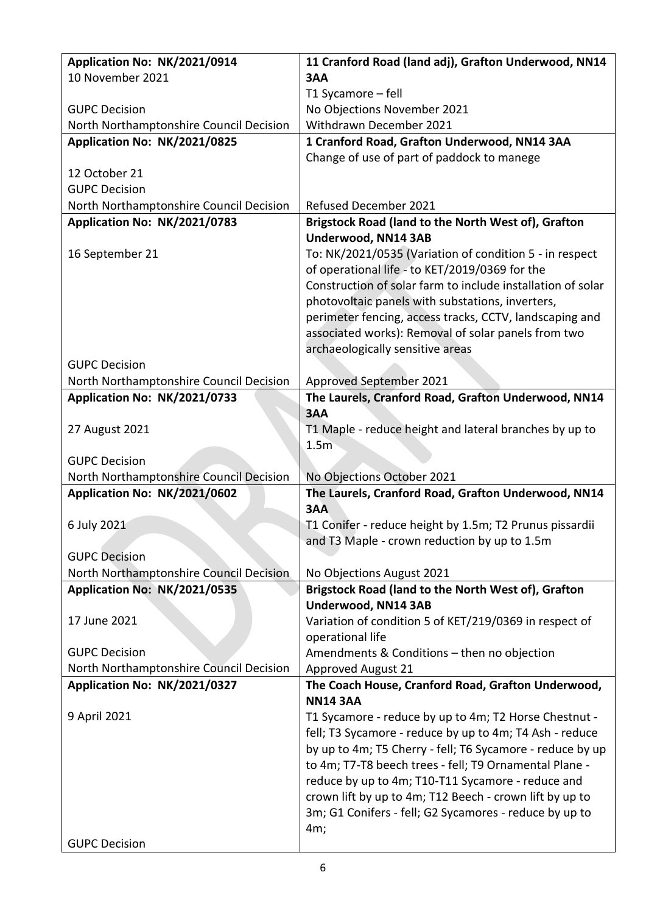| Application No: NK/2021/0914            | 11 Cranford Road (land adj), Grafton Underwood, NN14                                                            |
|-----------------------------------------|-----------------------------------------------------------------------------------------------------------------|
| 10 November 2021                        | 3AA                                                                                                             |
|                                         | T1 Sycamore - fell                                                                                              |
| <b>GUPC Decision</b>                    | No Objections November 2021                                                                                     |
| North Northamptonshire Council Decision | Withdrawn December 2021                                                                                         |
| Application No: NK/2021/0825            | 1 Cranford Road, Grafton Underwood, NN14 3AA                                                                    |
|                                         | Change of use of part of paddock to manege                                                                      |
| 12 October 21                           |                                                                                                                 |
| <b>GUPC Decision</b>                    |                                                                                                                 |
| North Northamptonshire Council Decision | <b>Refused December 2021</b>                                                                                    |
| Application No: NK/2021/0783            | Brigstock Road (land to the North West of), Grafton                                                             |
|                                         | Underwood, NN14 3AB                                                                                             |
| 16 September 21                         | To: NK/2021/0535 (Variation of condition 5 - in respect                                                         |
|                                         | of operational life - to KET/2019/0369 for the                                                                  |
|                                         | Construction of solar farm to include installation of solar<br>photovoltaic panels with substations, inverters, |
|                                         | perimeter fencing, access tracks, CCTV, landscaping and                                                         |
|                                         | associated works): Removal of solar panels from two                                                             |
|                                         | archaeologically sensitive areas                                                                                |
| <b>GUPC Decision</b>                    |                                                                                                                 |
| North Northamptonshire Council Decision | Approved September 2021                                                                                         |
| Application No: NK/2021/0733            | The Laurels, Cranford Road, Grafton Underwood, NN14                                                             |
|                                         | 3AA                                                                                                             |
| 27 August 2021                          | T1 Maple - reduce height and lateral branches by up to                                                          |
|                                         | 1.5 <sub>m</sub>                                                                                                |
| <b>GUPC Decision</b>                    |                                                                                                                 |
| North Northamptonshire Council Decision | No Objections October 2021                                                                                      |
| Application No: NK/2021/0602            | The Laurels, Cranford Road, Grafton Underwood, NN14                                                             |
|                                         | 3AA                                                                                                             |
| 6 July 2021                             | T1 Conifer - reduce height by 1.5m; T2 Prunus pissardii                                                         |
|                                         | and T3 Maple - crown reduction by up to 1.5m                                                                    |
| <b>GUPC Decision</b>                    |                                                                                                                 |
| North Northamptonshire Council Decision | No Objections August 2021                                                                                       |
| Application No: NK/2021/0535            | Brigstock Road (land to the North West of), Grafton                                                             |
|                                         | Underwood, NN14 3AB                                                                                             |
| 17 June 2021                            | Variation of condition 5 of KET/219/0369 in respect of                                                          |
|                                         | operational life                                                                                                |
| <b>GUPC Decision</b>                    | Amendments & Conditions - then no objection                                                                     |
| North Northamptonshire Council Decision | <b>Approved August 21</b>                                                                                       |
| Application No: NK/2021/0327            | The Coach House, Cranford Road, Grafton Underwood,<br><b>NN14 3AA</b>                                           |
| 9 April 2021                            | T1 Sycamore - reduce by up to 4m; T2 Horse Chestnut -                                                           |
|                                         | fell; T3 Sycamore - reduce by up to 4m; T4 Ash - reduce                                                         |
|                                         | by up to 4m; T5 Cherry - fell; T6 Sycamore - reduce by up                                                       |
|                                         | to 4m; T7-T8 beech trees - fell; T9 Ornamental Plane -                                                          |
|                                         | reduce by up to 4m; T10-T11 Sycamore - reduce and                                                               |
|                                         | crown lift by up to 4m; T12 Beech - crown lift by up to                                                         |
|                                         | 3m; G1 Conifers - fell; G2 Sycamores - reduce by up to                                                          |
|                                         | 4m;                                                                                                             |
| <b>GUPC Decision</b>                    |                                                                                                                 |